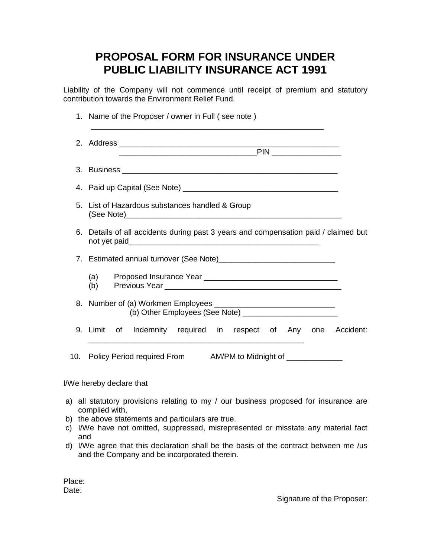## **PROPOSAL FORM FOR INSURANCE UNDER PUBLIC LIABILITY INSURANCE ACT 1991**

Liability of the Company will not commence until receipt of premium and statutory contribution towards the Environment Relief Fund.

|     | 1. Name of the Proposer / owner in Full (see note)                                                                            |  |
|-----|-------------------------------------------------------------------------------------------------------------------------------|--|
|     |                                                                                                                               |  |
|     |                                                                                                                               |  |
|     |                                                                                                                               |  |
|     | 5. List of Hazardous substances handled & Group                                                                               |  |
|     | 6. Details of all accidents during past 3 years and compensation paid / claimed but                                           |  |
|     |                                                                                                                               |  |
|     |                                                                                                                               |  |
|     |                                                                                                                               |  |
|     | 9. Limit of Indemnity required in respect of Any one Accident:                                                                |  |
| 10. | <u> 1989 - Johann Stoff, Amerikaansk politiker (* 1908)</u><br>Policy Period required From AM/PM to Midnight of _____________ |  |

## I/We hereby declare that

- a) all statutory provisions relating to my / our business proposed for insurance are complied with,
- b) the above statements and particulars are true.
- c) I/We have not omitted, suppressed, misrepresented or misstate any material fact and
- d) I/We agree that this declaration shall be the basis of the contract between me /us and the Company and be incorporated therein.

Place: Date:

Signature of the Proposer: